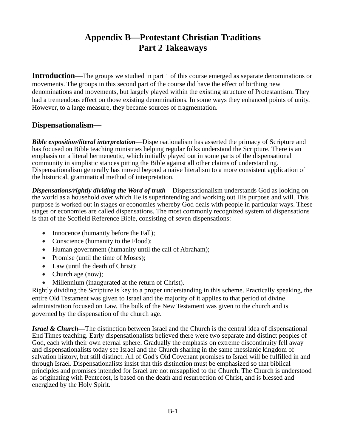# **Appendix B—Protestant Christian Traditions Part 2 Takeaways**

**Introduction—**The groups we studied in part 1 of this course emerged as separate denominations or movements. The groups in this second part of the course did have the effect of birthing new denominations and movements, but largely played within the existing structure of Protestantism. They had a tremendous effect on those existing denominations. In some ways they enhanced points of unity. However, to a large measure, they became sources of fragmentation.

### **Dispensationalism—**

*Bible exposition/literal interpretation*—Dispensationalism has asserted the primacy of Scripture and has focused on Bible teaching ministries helping regular folks understand the Scripture. There is an emphasis on a literal hermeneutic, which initially played out in some parts of the dispensational community in simplistic stances pitting the Bible against all other claims of understanding. Dispensationalism generally has moved beyond a naive literalism to a more consistent application of the historical, grammatical method of interpretation.

*Dispensations/rightly dividing the Word of truth*—Dispensationalism understands God as looking on the world as a household over which He is superintending and working out His purpose and will. This purpose is worked out in stages or economies whereby God deals with people in particular ways. These stages or economies are called dispensations. The most commonly recognized system of dispensations is that of the Scofield Reference Bible, consisting of seven dispensations:

- Innocence (humanity before the Fall);
- Conscience (humanity to the Flood);
- Human government (humanity until the call of Abraham);
- Promise (until the time of Moses);
- Law (until the death of Christ);
- Church age (now);
- Millennium (inaugurated at the return of Christ).

Rightly dividing the Scripture is key to a proper understanding in this scheme. Practically speaking, the entire Old Testament was given to Israel and the majority of it applies to that period of divine administration focused on Law. The bulk of the New Testament was given to the church and is governed by the dispensation of the church age.

*Israel & Church—*The distinction between Israel and the Church is the central idea of dispensational End Times teaching. Early dispensationalists believed there were two separate and distinct peoples of God, each with their own eternal sphere. Gradually the emphasis on extreme discontinuity fell away and dispensationalists today see Israel and the Church sharing in the same messianic kingdom of salvation history, but still distinct. All of God's Old Covenant promises to Israel will be fulfilled in and through Israel. Dispensationalists insist that this distinction must be emphasized so that biblical principles and promises intended for Israel are not misapplied to the Church. The Church is understood as originating with Pentecost, is based on the death and resurrection of Christ, and is blessed and energized by the Holy Spirit.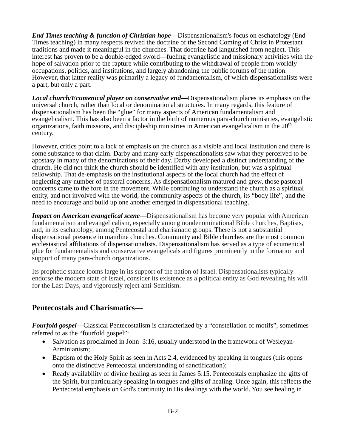*End Times teaching & function of Christian hope—*Dispensationalism's focus on eschatology (End Times teaching) in many respects revived the doctrine of the Second Coming of Christ in Protestant traditions and made it meaningful in the churches. That doctrine had languished from neglect. This interest has proven to be a double-edged sword—fueling evangelistic and missionary activities with the hope of salvation prior to the rapture while contributing to the withdrawal of people from worldly occupations, politics, and institutions, and largely abandoning the public forums of the nation. However, that latter reality was primarily a legacy of fundamentalism, of which dispensationalists were a part, but only a part.

*Local church/Ecumenical player on conservative end—*Dispensationalism places its emphasis on the universal church, rather than local or denominational structures. In many regards, this feature of dispensationalism has been the "glue" for many aspects of American fundamentalism and evangelicalism. This has also been a factor in the birth of numerous para-church ministries, evangelistic organizations, faith missions, and discipleship ministries in American evangelicalism in the  $20<sup>th</sup>$ century.

However, critics point to a lack of emphasis on the church as a visible and local institution and there is some substance to that claim. Darby and many early dispensationalists saw what they perceived to be apostasy in many of the denominations of their day. Darby developed a distinct understanding of the church. He did not think the church should be identified with any institution, but was a spiritual fellowship. That de-emphasis on the institutional aspects of the local church had the effect of neglecting any number of pastoral concerns. As dispensationalism matured and grew, those pastoral concerns came to the fore in the movement. While continuing to understand the church as a spiritual entity, and not involved with the world, the community aspects of the church, its "body life", and the need to encourage and build up one another emerged in dispensational teaching.

*Impact on American evangelical scene*—Dispensationalism has become very popular with American fundamentalism and evangelicalism, especially among nondenominational Bible churches, Baptists, and, in its eschatology, among Pentecostal and charismatic groups. There is not a substantial dispensational presence in mainline churches. Community and Bible churches are the most common ecclesiastical affiliations of dispensationalists. Dispensationalism has served as a type of ecumenical glue for fundamentalists and conservative evangelicals and figures prominently in the formation and support of many para-church organizations.

Its prophetic stance looms large in its support of the nation of Israel. Dispensationalists typically endorse the modern state of Israel, consider its existence as a political entity as God revealing his will for the Last Days, and vigorously reject anti-Semitism.

#### **Pentecostals and Charismatics—**

*Fourfold gospel—*Classical Pentecostalism is characterized by a "constellation of motifs", sometimes referred to as the "fourfold gospel":

- Salvation as proclaimed in John 3:16, usually understood in the framework of Wesleyan-Arminianism;
- Baptism of the Holy Spirit as seen in Acts 2:4, evidenced by speaking in tongues (this opens onto the distinctive Pentecostal understanding of sanctification);
- Ready availability of divine healing as seen in James 5:15. Pentecostals emphasize the gifts of the Spirit, but particularly speaking in tongues and gifts of healing. Once again, this reflects the Pentecostal emphasis on God's continuity in His dealings with the world. You see healing in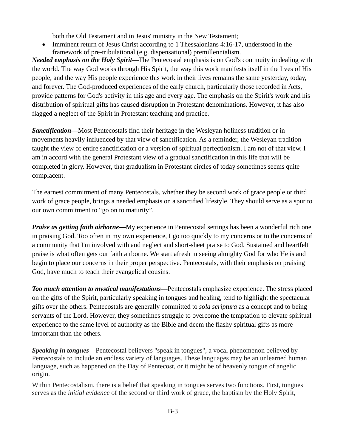both the Old Testament and in Jesus' ministry in the New Testament;

• Imminent return of Jesus Christ according to 1 Thessalonians 4:16-17, understood in the framework of pre-tribulational (e.g. dispensational) premillennialism.

*Needed emphasis on the Holy Spirit—*The Pentecostal emphasis is on God's continuity in dealing with the world. The way God works through His Spirit, the way this work manifests itself in the lives of His people, and the way His people experience this work in their lives remains the same yesterday, today, and forever. The God-produced experiences of the early church, particularly those recorded in Acts, provide patterns for God's activity in this age and every age. The emphasis on the Spirit's work and his distribution of spiritual gifts has caused disruption in Protestant denominations. However, it has also flagged a neglect of the Spirit in Protestant teaching and practice.

*Sanctification—*Most Pentecostals find their heritage in the Wesleyan holiness tradition or in movements heavily influenced by that view of sanctification. As a reminder, the Wesleyan tradition taught the view of entire sanctification or a version of spiritual perfectionism. I am not of that view. I am in accord with the general Protestant view of a gradual sanctification in this life that will be completed in glory. However, that gradualism in Protestant circles of today sometimes seems quite complacent.

The earnest commitment of many Pentecostals, whether they be second work of grace people or third work of grace people, brings a needed emphasis on a sanctified lifestyle. They should serve as a spur to our own commitment to "go on to maturity".

*Praise as getting faith airborne—My experience in Pentecostal settings has been a wonderful rich one* in praising God. Too often in my own experience, I go too quickly to my concerns or to the concerns of a community that I'm involved with and neglect and short-sheet praise to God. Sustained and heartfelt praise is what often gets our faith airborne. We start afresh in seeing almighty God for who He is and begin to place our concerns in their proper perspective. Pentecostals, with their emphasis on praising God, have much to teach their evangelical cousins.

*Too much attention to mystical manifestations—*Pentecostals emphasize experience. The stress placed on the gifts of the Spirit, particularly speaking in tongues and healing, tend to highlight the spectacular gifts over the others. Pentecostals are generally committed to *sola scriptura* as a concept and to being servants of the Lord. However, they sometimes struggle to overcome the temptation to elevate spiritual experience to the same level of authority as the Bible and deem the flashy spiritual gifts as more important than the others.

*Speaking in tongues*—Pentecostal believers "speak in tongues", a vocal phenomenon believed by Pentecostals to include an endless variety of languages. These languages may be an unlearned human language, such as happened on the Day of Pentecost, or it might be of heavenly tongue of angelic origin.

Within Pentecostalism, there is a belief that speaking in tongues serves two functions. First, tongues serves as the *initial evidence* of the second or third work of grace, the baptism by the Holy Spirit,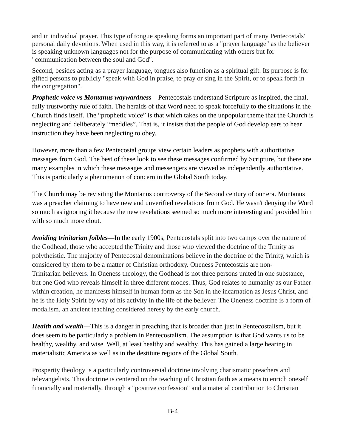and in individual prayer. This type of tongue speaking forms an important part of many Pentecostals' personal daily devotions. When used in this way, it is referred to as a "prayer language" as the believer is speaking unknown languages not for the purpose of communicating with others but for "communication between the soul and God".

Second, besides acting as a prayer language, tongues also function as a spiritual gift. Its purpose is for gifted persons to publicly "speak with God in praise, to pray or sing in the Spirit, or to speak forth in the congregation".

*Prophetic voice vs Montanus waywardness—*Pentecostals understand Scripture as inspired, the final, fully trustworthy rule of faith. The heralds of that Word need to speak forcefully to the situations in the Church finds itself. The "prophetic voice" is that which takes on the unpopular theme that the Church is neglecting and deliberately "meddles". That is, it insists that the people of God develop ears to hear instruction they have been neglecting to obey.

However, more than a few Pentecostal groups view certain leaders as prophets with authoritative messages from God. The best of these look to see these messages confirmed by Scripture, but there are many examples in which these messages and messengers are viewed as independently authoritative. This is particularly a phenomenon of concern in the Global South today.

The Church may be revisiting the Montanus controversy of the Second century of our era. Montanus was a preacher claiming to have new and unverified revelations from God. He wasn't denying the Word so much as ignoring it because the new revelations seemed so much more interesting and provided him with so much more clout.

*Avoiding trinitarian foibles—*In the early 1900s, Pentecostals split into two camps over the nature of the Godhead, those who accepted the Trinity and those who viewed the doctrine of the Trinity as polytheistic. The majority of Pentecostal denominations believe in the doctrine of the Trinity, which is considered by them to be a matter of Christian orthodoxy. Oneness Pentecostals are non-Trinitarian believers. In Oneness theology, the Godhead is not three persons united in one substance, but one God who reveals himself in three different modes. Thus, God relates to humanity as our Father within creation, he manifests himself in human form as the Son in the incarnation as Jesus Christ, and he is the Holy Spirit by way of his activity in the life of the believer. The Oneness doctrine is a form of modalism, an ancient teaching considered heresy by the early church.

*Health and wealth—This is a danger in preaching that is broader than just in Pentecostalism, but it* does seem to be particularly a problem in Pentecostalism. The assumption is that God wants us to be healthy, wealthy, and wise. Well, at least healthy and wealthy. This has gained a large hearing in materialistic America as well as in the destitute regions of the Global South.

Prosperity theology is a particularly controversial doctrine involving charismatic preachers and televangelists. This doctrine is centered on the teaching of Christian faith as a means to enrich oneself financially and materially, through a "positive confession" and a material contribution to Christian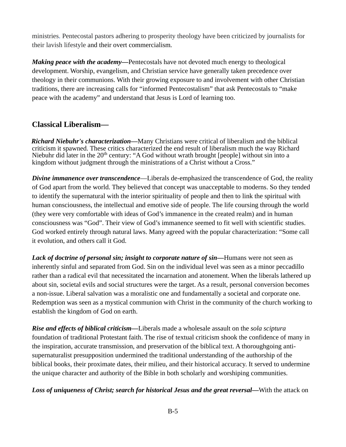ministries. Pentecostal pastors adhering to prosperity theology have been criticized by journalists for their lavish lifestyle and their overt commercialism*.*

*Making peace with the academy—*Pentecostals have not devoted much energy to theological development. Worship, evangelism, and Christian service have generally taken precedence over theology in their communions. With their growing exposure to and involvement with other Christian traditions, there are increasing calls for "informed Pentecostalism" that ask Pentecostals to "make peace with the academy" and understand that Jesus is Lord of learning too.

## **Classical Liberalism—**

*Richard Niebuhr's characterization—*Many Christians were critical of liberalism and the biblical criticism it spawned. These critics characterized the end result of liberalism much the way Richard Niebuhr did later in the 20<sup>th</sup> century: "A God without wrath brought [people] without sin into a kingdom without judgment through the ministrations of a Christ without a Cross."

*Divine immanence over transcendence*—Liberals de-emphasized the transcendence of God, the reality of God apart from the world. They believed that concept was unacceptable to moderns. So they tended to identify the supernatural with the interior spirituality of people and then to link the spiritual with human consciousness, the intellectual and emotive side of people. The life coursing through the world (they were very comfortable with ideas of God's immanence in the created realm) and in human consciousness was "God". Their view of God's immanence seemed to fit well with scientific studies. God worked entirely through natural laws. Many agreed with the popular characterization: "Some call it evolution, and others call it God.

*Lack of doctrine of personal sin; insight to corporate nature of sin—Humans were not seen as* inherently sinful and separated from God. Sin on the individual level was seen as a minor peccadillo rather than a radical evil that necessitated the incarnation and atonement. When the liberals lathered up about sin, societal evils and social structures were the target. As a result, personal conversion becomes a non-issue. Liberal salvation was a moralistic one and fundamentally a societal and corporate one. Redemption was seen as a mystical communion with Christ in the community of the church working to establish the kingdom of God on earth.

*Rise and effects of biblical criticism—*Liberals made a wholesale assault on the *sola sciptura* foundation of traditional Protestant faith. The rise of textual criticism shook the confidence of many in the inspiration, accurate transmission, and preservation of the biblical text. A thoroughgoing antisupernaturalist presupposition undermined the traditional understanding of the authorship of the biblical books, their proximate dates, their milieu, and their historical accuracy. It served to undermine the unique character and authority of the Bible in both scholarly and worshiping communities.

*Loss of uniqueness of Christ; search for historical Jesus and the great reversal—*With the attack on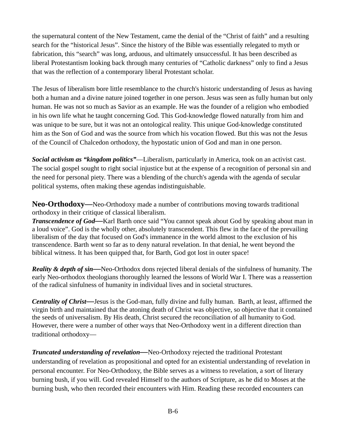the supernatural content of the New Testament, came the denial of the "Christ of faith" and a resulting search for the "historical Jesus". Since the history of the Bible was essentially relegated to myth or fabrication, this "search" was long, arduous, and ultimately unsuccessful. It has been described as liberal Protestantism looking back through many centuries of "Catholic darkness" only to find a Jesus that was the reflection of a contemporary liberal Protestant scholar.

The Jesus of liberalism bore little resemblance to the church's historic understanding of Jesus as having both a human and a divine nature joined together in one person. Jesus was seen as fully human but only human. He was not so much as Savior as an example. He was the founder of a religion who embodied in his own life what he taught concerning God. This God-knowledge flowed naturally from him and was unique to be sure, but it was not an ontological reality. This unique God-knowledge constituted him as the Son of God and was the source from which his vocation flowed. But this was not the Jesus of the Council of Chalcedon orthodoxy, the hypostatic union of God and man in one person.

*Social activism as "kingdom politics"*—Liberalism, particularly in America, took on an activist cast. The social gospel sought to right social injustice but at the expense of a recognition of personal sin and the need for personal piety. There was a blending of the church's agenda with the agenda of secular political systems, often making these agendas indistinguishable.

**Neo-Orthodoxy—**Neo-Orthodoxy made a number of contributions moving towards traditional orthodoxy in their critique of classical liberalism.

*Transcendence of God—Karl Barth once said "You cannot speak about God by speaking about man in* a loud voice". God is the wholly other, absolutely transcendent. This flew in the face of the prevailing liberalism of the day that focused on God's immanence in the world almost to the exclusion of his transcendence. Barth went so far as to deny natural revelation. In that denial, he went beyond the biblical witness. It has been quipped that, for Barth, God got lost in outer space!

*Reality & depth of sin—*Neo-Orthodox dons rejected liberal denials of the sinfulness of humanity. The early Neo-orthodox theologians thoroughly learned the lessons of World War I. There was a reassertion of the radical sinfulness of humanity in individual lives and in societal structures.

*Centrality of Christ—*Jesus is the God-man, fully divine and fully human. Barth, at least, affirmed the virgin birth and maintained that the atoning death of Christ was objective, so objective that it contained the seeds of universalism. By His death, Christ secured the reconciliation of all humanity to God. However, there were a number of other ways that Neo-Orthodoxy went in a different direction than traditional orthodoxy—

*Truncated understanding of revelation—*Neo-Orthodoxy rejected the traditional Protestant understanding of revelation as propositional and opted for an existential understanding of revelation in personal encounter. For Neo-Orthodoxy, the Bible serves as a witness to revelation, a sort of literary burning bush, if you will. God revealed Himself to the authors of Scripture, as he did to Moses at the burning bush, who then recorded their encounters with Him. Reading these recorded encounters can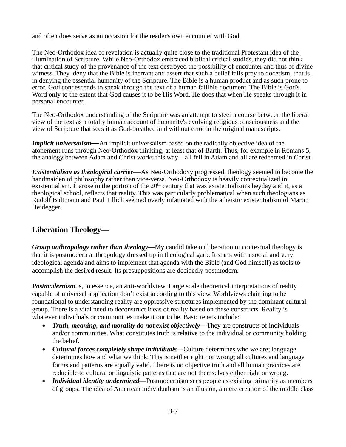and often does serve as an occasion for the reader's own encounter with God.

The Neo-Orthodox idea of revelation is actually quite close to the traditional Protestant idea of the illumination of Scripture. While Neo-Orthodox embraced biblical critical studies, they did not think that critical study of the provenance of the text destroyed the possibility of encounter and thus of divine witness. They deny that the Bible is inerrant and assert that such a belief falls prey to docetism, that is, in denying the essential humanity of the Scripture. The Bible is a human product and as such prone to error. God condescends to speak through the text of a human fallible document. The Bible is God's Word only to the extent that God causes it to be His Word. He does that when He speaks through it in personal encounter.

The Neo-Orthodox understanding of the Scripture was an attempt to steer a course between the liberal view of the text as a totally human account of humanity's evolving religious consciousness and the view of Scripture that sees it as God-breathed and without error in the original manuscripts.

*Implicit universalism—An implicit universalism based on the radically objective idea of the* atonement runs through Neo-Orthodox thinking, at least that of Barth. Thus, for example in Romans 5, the analogy between Adam and Christ works this way—all fell in Adam and all are redeemed in Christ.

*Existentialism as theological carrier—*As Neo-Orthodoxy progressed, theology seemed to become the handmaiden of philosophy rather than vice-versa. Neo-Orthodoxy is heavily contextualized in existentialism. It arose in the portion of the  $20<sup>th</sup>$  century that was existentialism's heyday and it, as a theological school, reflects that reality. This was particularly problematical when such theologians as Rudolf Bultmann and Paul Tillich seemed overly infatuated with the atheistic existentialism of Martin Heidegger.

#### **Liberation Theology—**

*Group anthropology rather than theology*—My candid take on liberation or contextual theology is that it is postmodern anthropology dressed up in theological garb. It starts with a social and very ideological agenda and aims to implement that agenda with the Bible (and God himself) as tools to accomplish the desired result. Its presuppositions are decidedly postmodern.

*Postmodernism* is, in essence, an anti-worldview. Large scale theoretical interpretations of reality capable of universal application don't exist according to this view. Worldviews claiming to be foundational to understanding reality are oppressive structures implemented by the dominant cultural group. There is a vital need to deconstruct ideas of reality based on these constructs. Reality is whatever individuals or communities make it out to be. Basic tenets include:

- *Truth, meaning, and morality do not exist objectively—*They are constructs of individuals and/or communities. What constitutes truth is relative to the individual or community holding the belief.
- *Cultural forces completely shape individuals—*Culture determines who we are; language determines how and what we think. This is neither right nor wrong; all cultures and language forms and patterns are equally valid. There is no objective truth and all human practices are reducible to cultural or linguistic patterns that are not themselves either right or wrong.
- *Individual identity undermined—Postmodernism sees people as existing primarily as members* of groups. The idea of American individualism is an illusion, a mere creation of the middle class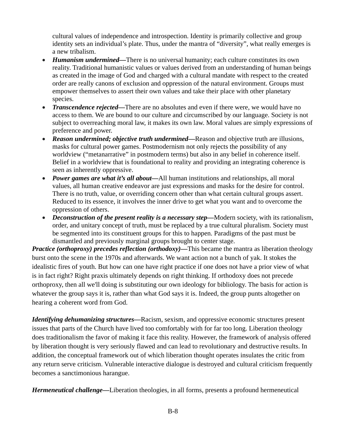cultural values of independence and introspection. Identity is primarily collective and group identity sets an individual's plate. Thus, under the mantra of "diversity", what really emerges is a new tribalism.

- *Humanism undermined—*There is no universal humanity; each culture constitutes its own reality. Traditional humanistic values or values derived from an understanding of human beings as created in the image of God and charged with a cultural mandate with respect to the created order are really canons of exclusion and oppression of the natural environment. Groups must empower themselves to assert their own values and take their place with other planetary species.
- *Transcendence rejected—*There are no absolutes and even if there were, we would have no access to them. We are bound to our culture and circumscribed by our language. Society is not subject to overreaching moral law, it makes its own law. Moral values are simply expressions of preference and power.
- *Reason undermined; objective truth undermined—*Reason and objective truth are illusions, masks for cultural power games. Postmodernism not only rejects the possibility of any worldview ("metanarrative" in postmodern terms) but also in any belief in coherence itself. Belief in a worldview that is foundational to reality and providing an integrating coherence is seen as inherently oppressive.
- *Power games are what it's all about—*All human institutions and relationships, all moral values, all human creative endeavor are just expressions and masks for the desire for control. There is no truth, value, or overriding concern other than what certain cultural groups assert. Reduced to its essence, it involves the inner drive to get what you want and to overcome the oppression of others.
- *Deconstruction of the present reality is a necessary step—*Modern society, with its rationalism, order, and unitary concept of truth, must be replaced by a true cultural pluralism. Society must be segmented into its constituent groups for this to happen. Paradigms of the past must be dismantled and previously marginal groups brought to center stage.

*Practice (orthoproxy) precedes reflection (orthodoxy)—This became the mantra as liberation theology* burst onto the scene in the 1970s and afterwards. We want action not a bunch of yak. It stokes the idealistic fires of youth. But how can one have right practice if one does not have a prior view of what is in fact right? Right praxis ultimately depends on right thinking. If orthodoxy does not precede orthoproxy, then all we'll doing is substituting our own ideology for bibliology. The basis for action is whatever the group says it is, rather than what God says it is. Indeed, the group punts altogether on hearing a coherent word from God.

*Identifying dehumanizing structures—*Racism, sexism, and oppressive economic structures present issues that parts of the Church have lived too comfortably with for far too long. Liberation theology does traditionalism the favor of making it face this reality. However, the framework of analysis offered by liberation thought is very seriously flawed and can lead to revolutionary and destructive results. In addition, the conceptual framework out of which liberation thought operates insulates the critic from any return serve criticism. Vulnerable interactive dialogue is destroyed and cultural criticism frequently becomes a sanctimonious harangue.

*Hermeneutical challenge—*Liberation theologies, in all forms, presents a profound hermeneutical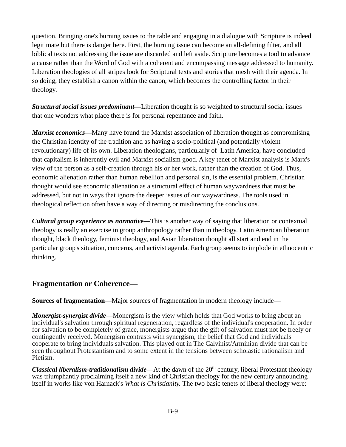question. Bringing one's burning issues to the table and engaging in a dialogue with Scripture is indeed legitimate but there is danger here. First, the burning issue can become an all-defining filter, and all biblical texts not addressing the issue are discarded and left aside. Scripture becomes a tool to advance a cause rather than the Word of God with a coherent and encompassing message addressed to humanity. Liberation theologies of all stripes look for Scriptural texts and stories that mesh with their agenda. In so doing, they establish a canon within the canon, which becomes the controlling factor in their theology.

*Structural social issues predominant—*Liberation thought is so weighted to structural social issues that one wonders what place there is for personal repentance and faith.

*Marxist economics—*Many have found the Marxist association of liberation thought as compromising the Christian identity of the tradition and as having a socio-political (and potentially violent revolutionary) life of its own. Liberation theologians, particularly of Latin America, have concluded that capitalism is inherently evil and Marxist socialism good. A key tenet of Marxist analysis is Marx's view of the person as a self-creation through his or her work, rather than the creation of God. Thus, economic alienation rather than human rebellion and personal sin, is the essential problem. Christian thought would see economic alienation as a structural effect of human waywardness that must be addressed, but not in ways that ignore the deeper issues of our waywardness. The tools used in theological reflection often have a way of directing or misdirecting the conclusions.

*Cultural group experience as normative—*This is another way of saying that liberation or contextual theology is really an exercise in group anthropology rather than in theology. Latin American liberation thought, black theology, feminist theology, and Asian liberation thought all start and end in the particular group's situation, concerns, and activist agenda. Each group seems to implode in ethnocentric thinking.

## **Fragmentation or Coherence—**

**Sources of fragmentation**—Major sources of fragmentation in modern theology include—

*Monergist-synergist divide—Monergism is the view which holds that God works to bring about an* individual's salvation through spiritual regeneration, regardless of the individual's cooperation. In order for salvation to be completely of grace, monergists argue that the gift of salvation must not be freely or contingently received. Monergism contrasts with synergism, the belief that God and individuals cooperate to bring individuals salvation. This played out in The Calvinist/Arminian divide that can be seen throughout Protestantism and to some extent in the tensions between scholastic rationalism and Pietism.

*Classical liberalism-traditionalism divide—At the dawn of the 20<sup>th</sup> century, liberal Protestant theology* was triumphantly proclaiming itself a new kind of Christian theology for the new century announcing itself in works like von Harnack's *What is Christianity.* The two basic tenets of liberal theology were: